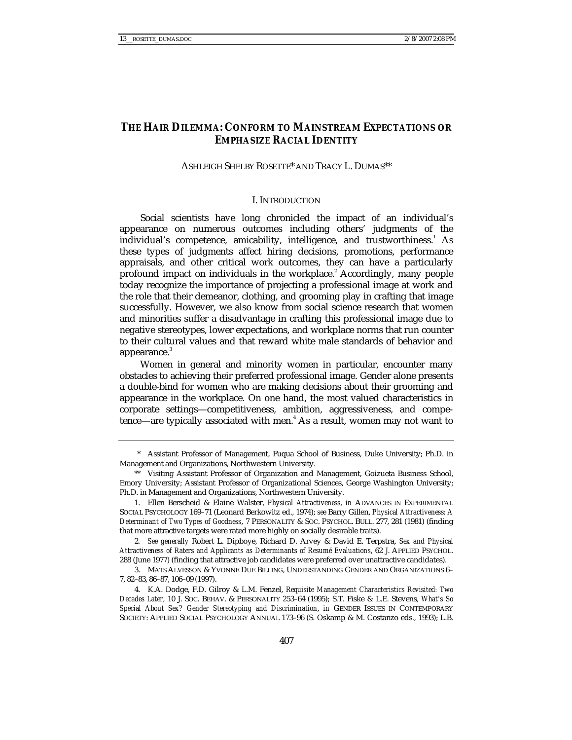# **THE HAIR DILEMMA: CONFORM TO MAINSTREAM EXPECTATIONS OR EMPHASIZE RACIAL IDENTITY**

# ASHLEIGH SHELBY ROSETTE\* AND TRACY L. DUMAS\*\*

# I. INTRODUCTION

Social scientists have long chronicled the impact of an individual's appearance on numerous outcomes including others' judgments of the individual's competence, amicability, intelligence, and trustworthiness.  $\Delta s$ these types of judgments affect hiring decisions, promotions, performance appraisals, and other critical work outcomes, they can have a particularly profound impact on individuals in the workplace.<sup>2</sup> Accordingly, many people today recognize the importance of projecting a professional image at work and the role that their demeanor, clothing, and grooming play in crafting that image successfully. However, we also know from social science research that women and minorities suffer a disadvantage in crafting this professional image due to negative stereotypes, lower expectations, and workplace norms that run counter to their cultural values and that reward white male standards of behavior and appearance.<sup>3</sup>

Women in general and minority women in particular, encounter many obstacles to achieving their preferred professional image. Gender alone presents a double-bind for women who are making decisions about their grooming and appearance in the workplace. On one hand, the most valued characteristics in corporate settings—competitiveness, ambition, aggressiveness, and competence—are typically associated with men.<sup>4</sup> As a result, women may not want to

 <sup>\*</sup> Assistant Professor of Management, Fuqua School of Business, Duke University; Ph.D. in Management and Organizations, Northwestern University.

 <sup>\*\*</sup> Visiting Assistant Professor of Organization and Management, Goizueta Business School, Emory University; Assistant Professor of Organizational Sciences, George Washington University; Ph.D. in Management and Organizations, Northwestern University.

 <sup>1.</sup> Ellen Berscheid & Elaine Walster, *Physical Attractiveness*, *in* ADVANCES IN EXPERIMENTAL SOCIAL PSYCHOLOGY 169–71 (Leonard Berkowitz ed., 1974); *see* Barry Gillen, *Physical Attractiveness: A Determinant of Two Types of Goodness*, 7 PERSONALITY & SOC. PSYCHOL. BULL. 277, 281 (1981) (finding that more attractive targets were rated more highly on socially desirable traits).

<sup>2</sup>*. See generally* Robert L. Dipboye, Richard D. Arvey & David E. Terpstra, *Sex and Physical Attractiveness of Raters and Applicants as Determinants of Resumé Evaluations*, 62 J. APPLIED PSYCHOL. 288 (June 1977) (finding that attractive job candidates were preferred over unattractive candidates).

 <sup>3.</sup> MATS ALVESSON & YVONNE DUE BILLING, UNDERSTANDING GENDER AND ORGANIZATIONS 6– 7, 82–83, 86–87, 106–09 (1997).

 <sup>4.</sup> K.A. Dodge, F.D. Gilroy & L.M. Fenzel, *Requisite Management Characteristics Revisited: Two Decades Later*, 10 J. SOC. BEHAV. & PERSONALITY 253–64 (1995); S.T. Fiske & L.E. Stevens, *What's So Special About Sex? Gender Stereotyping and Discrimination*, *in* GENDER ISSUES IN CONTEMPORARY SOCIETY: APPLIED SOCIAL PSYCHOLOGY ANNUAL 173–96 (S. Oskamp & M. Costanzo eds., 1993); L.B.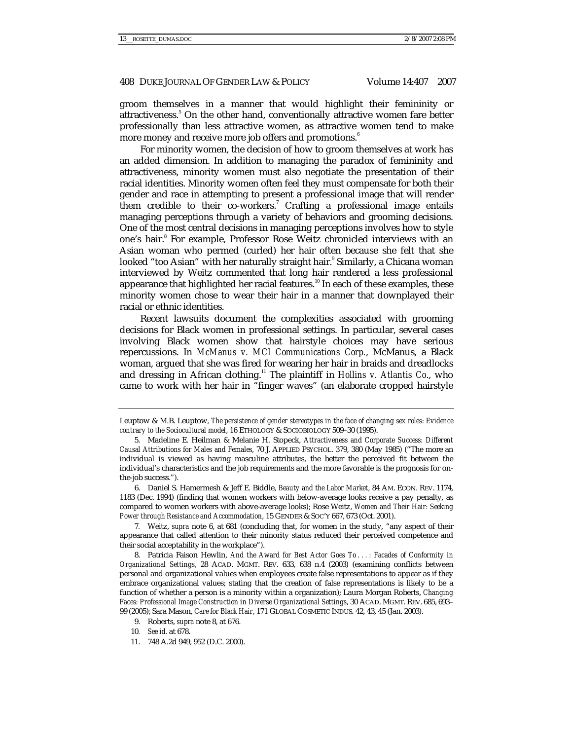groom themselves in a manner that would highlight their femininity or attractiveness.<sup>5</sup> On the other hand, conventionally attractive women fare better professionally than less attractive women, as attractive women tend to make more money and receive more job offers and promotions.<sup>6</sup>

For minority women, the decision of how to groom themselves at work has an added dimension. In addition to managing the paradox of femininity and attractiveness, minority women must also negotiate the presentation of their racial identities. Minority women often feel they must compensate for both their gender and race in attempting to present a professional image that will render them credible to their co-workers.<sup>7</sup> Crafting a professional image entails managing perceptions through a variety of behaviors and grooming decisions. One of the most central decisions in managing perceptions involves how to style one's hair.<sup>8</sup> For example, Professor Rose Weitz chronicled interviews with an Asian woman who permed (curled) her hair often because she felt that she looked "too Asian" with her naturally straight hair.<sup>9</sup> Similarly, a Chicana woman interviewed by Weitz commented that long hair rendered a less professional appearance that highlighted her racial features.<sup>10</sup> In each of these examples, these minority women chose to wear their hair in a manner that downplayed their racial or ethnic identities.

Recent lawsuits document the complexities associated with grooming decisions for Black women in professional settings. In particular, several cases involving Black women show that hairstyle choices may have serious repercussions. In *McManus v. MCI Communications Corp.*, McManus, a Black woman, argued that she was fired for wearing her hair in braids and dreadlocks and dressing in African clothing.11 The plaintiff in *Hollins v. Atlantis Co*., who came to work with her hair in "finger waves" (an elaborate cropped hairstyle

 6. Daniel S. Hamermesh & Jeff E. Biddle, *Beauty and the Labor Market*, 84 AM. ECON. REV. 1174, 1183 (Dec. 1994) (finding that women workers with below-average looks receive a pay penalty, as compared to women workers with above-average looks); Rose Weitz, *Women and Their Hair: Seeking Power through Resistance and Accommodation*, 15 GENDER & SOC'Y 667, 673 (Oct. 2001).

7*.* Weitz, *supra* note 6, at 681 (concluding that, for women in the study, "any aspect of their appearance that called attention to their minority status reduced their perceived competence and their social acceptability in the workplace").

 8. Patricia Faison Hewlin, *And the Award for Best Actor Goes To . . . : Facades of Conformity in Organizational Settings*, 28 ACAD. MGMT. REV. 633, 638 n.4 (2003) (examining conflicts between personal and organizational values when employees create false representations to appear as if they embrace organizational values; stating that the creation of false representations is likely to be a function of whether a person is a minority within a organization); Laura Morgan Roberts, *Changing Faces: Professional Image Construction in Diverse Organizational Settings*, 30 ACAD. MGMT. REV. 685, 693– 99 (2005); Sara Mason, *Care for Black Hair*, 171 GLOBAL COSMETIC INDUS. 42, 43, 45 (Jan. 2003).

11. 748 A.2d 949, 952 (D.C. 2000).

Leuptow & M.B. Leuptow, *The persistence of gender stereotypes in the face of changing sex roles: Evidence contrary to the Sociocultural model*, 16 ETHOLOGY & SOCIOBIOLOGY 509–30 (1995).

 <sup>5.</sup> Madeline E. Heilman & Melanie H. Stopeck, *Attractiveness and Corporate Success: Different Causal Attributions for Males and Females*, 70 J. APPLIED PSYCHOL. 379, 380 (May 1985) ("The more an individual is viewed as having masculine attributes, the better the perceived fit between the individual's characteristics and the job requirements and the more favorable is the prognosis for onthe-job success.").

 <sup>9.</sup> Roberts, *supra* note 8, at 676.

<sup>10</sup>*. See id.* at 678.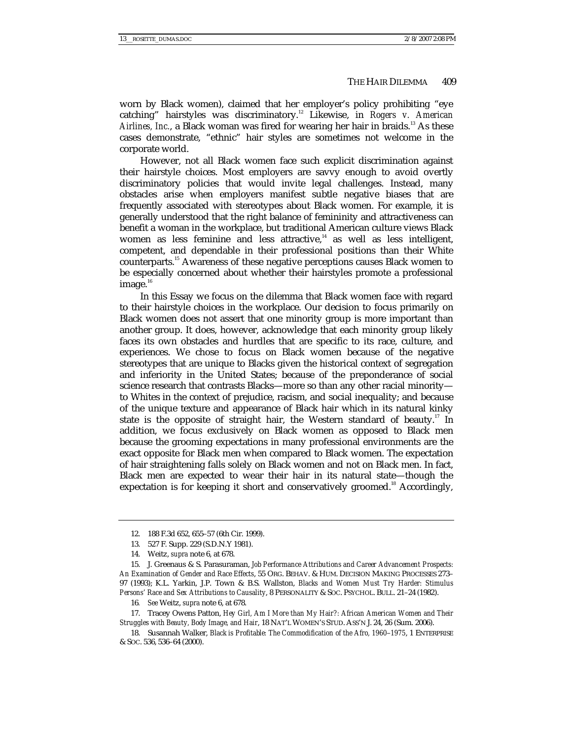worn by Black women), claimed that her employer's policy prohibiting "eye catching" hairstyles was discriminatory.12 Likewise, in *Rogers v. American*  Airlines, Inc., a Black woman was fired for wearing her hair in braids.<sup>13</sup> As these cases demonstrate, "ethnic" hair styles are sometimes not welcome in the corporate world.

However, not all Black women face such explicit discrimination against their hairstyle choices. Most employers are savvy enough to avoid overtly discriminatory policies that would invite legal challenges. Instead, many obstacles arise when employers manifest subtle negative biases that are frequently associated with stereotypes about Black women. For example, it is generally understood that the right balance of femininity and attractiveness can benefit a woman in the workplace, but traditional American culture views Black women as less feminine and less attractive, $14$  as well as less intelligent, competent, and dependable in their professional positions than their White counterparts.15 Awareness of these negative perceptions causes Black women to be especially concerned about whether their hairstyles promote a professional image. $16$ 

In this Essay we focus on the dilemma that Black women face with regard to their hairstyle choices in the workplace. Our decision to focus primarily on Black women does not assert that one minority group is more important than another group. It does, however, acknowledge that each minority group likely faces its own obstacles and hurdles that are specific to its race, culture, and experiences. We chose to focus on Black women because of the negative stereotypes that are unique to Blacks given the historical context of segregation and inferiority in the United States; because of the preponderance of social science research that contrasts Blacks—more so than any other racial minority to Whites in the context of prejudice, racism, and social inequality; and because of the unique texture and appearance of Black hair which in its natural kinky state is the opposite of straight hair, the Western standard of beauty.<sup>17</sup> In addition, we focus exclusively on Black women as opposed to Black men because the grooming expectations in many professional environments are the exact opposite for Black men when compared to Black women. The expectation of hair straightening falls solely on Black women and not on Black men. In fact, Black men are expected to wear their hair in its natural state—though the expectation is for keeping it short and conservatively groomed.<sup>18</sup> Accordingly,

 <sup>12. 188</sup> F.3d 652, 655–57 (6th Cir. 1999).

 <sup>13. 527</sup> F. Supp. 229 (S.D.N.Y 1981).

 <sup>14.</sup> Weitz, *supra* note 6, at 678.

 <sup>15.</sup> J. Greenaus & S. Parasuraman, *Job Performance Attributions and Career Advancement Prospects: An Examination of Gender and Race Effects*, 55 ORG. BEHAV. & HUM. DECISION MAKING PROCESSES 273– 97 (1993); K.L. Yarkin, J.P. Town & B.S. Wallston, *Blacks and Women Must Try Harder: Stimulus Persons' Race and Sex Attributions to Causality*, 8 PERSONALITY & SOC. PSYCHOL. BULL. 21–24 (1982).

<sup>16</sup>*. See* Weitz, *supra* note 6, at 678.

 <sup>17.</sup> Tracey Owens Patton, *Hey Girl, Am I More than My Hair?: African American Women and Their Struggles with Beauty, Body Image, and Hair*, 18 NAT'L WOMEN'S STUD. ASS'N J. 24, 26 (Sum. 2006).

 <sup>18.</sup> Susannah Walker, *Black is Profitable: The Commodification of the Afro, 1960*–*1975*, 1 ENTERPRISE & SOC. 536, 536–64 (2000).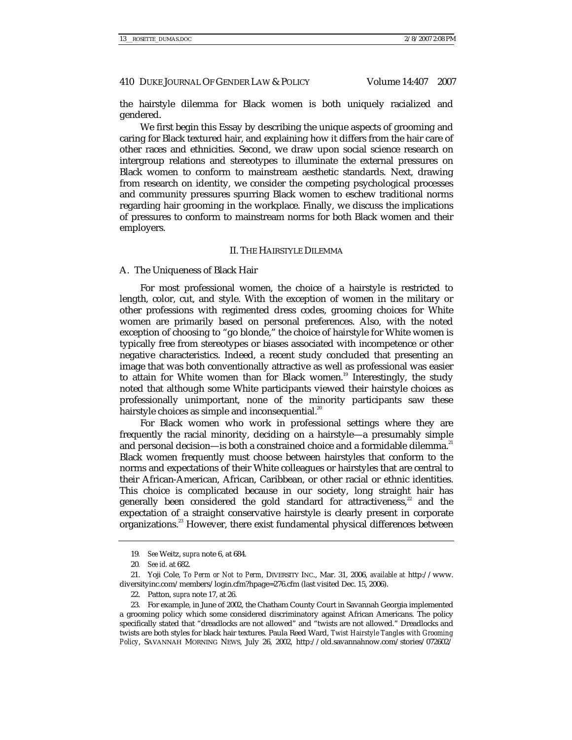the hairstyle dilemma for Black women is both uniquely racialized and gendered.

We first begin this Essay by describing the unique aspects of grooming and caring for Black textured hair, and explaining how it differs from the hair care of other races and ethnicities. Second, we draw upon social science research on intergroup relations and stereotypes to illuminate the external pressures on Black women to conform to mainstream aesthetic standards. Next, drawing from research on identity, we consider the competing psychological processes and community pressures spurring Black women to eschew traditional norms regarding hair grooming in the workplace. Finally, we discuss the implications of pressures to conform to mainstream norms for both Black women and their employers.

#### II. THE HAIRSTYLE DILEMMA

## A. The Uniqueness of Black Hair

For most professional women, the choice of a hairstyle is restricted to length, color, cut, and style. With the exception of women in the military or other professions with regimented dress codes, grooming choices for White women are primarily based on personal preferences. Also, with the noted exception of choosing to "go blonde," the choice of hairstyle for White women is typically free from stereotypes or biases associated with incompetence or other negative characteristics. Indeed, a recent study concluded that presenting an image that was both conventionally attractive as well as professional was easier to attain for White women than for Black women.<sup>19</sup> Interestingly, the study noted that although some White participants viewed their hairstyle choices as professionally unimportant, none of the minority participants saw these hairstyle choices as simple and inconsequential. $^{20}$ 

For Black women who work in professional settings where they are frequently the racial minority, deciding on a hairstyle—a presumably simple and personal decision—is both a constrained choice and a formidable dilemma.<sup>21</sup> Black women frequently must choose between hairstyles that conform to the norms and expectations of their White colleagues or hairstyles that are central to their African-American, African, Caribbean, or other racial or ethnic identities. This choice is complicated because in our society, long straight hair has generally been considered the gold standard for attractiveness,<sup>22</sup> and the expectation of a straight conservative hairstyle is clearly present in corporate organizations.<sup>23</sup> However, there exist fundamental physical differences between

22. Patton, *supra* note 17, at 26.

<sup>19</sup>*. See* Weitz, *supra* note 6, at 684.

<sup>20</sup>*. See id.* at 682.

 <sup>21.</sup> Yoji Cole, *To Perm or Not to Perm*, DIVERSITY INC., Mar. 31, 2006, *available at* http://www. diversityinc.com/members/login.cfm?hpage=276.cfm (last visited Dec. 15, 2006).

 <sup>23.</sup> For example, in June of 2002, the Chatham County Court in Savannah Georgia implemented a grooming policy which some considered discriminatory against African Americans. The policy specifically stated that "dreadlocks are not allowed" and "twists are not allowed." Dreadlocks and twists are both styles for black hair textures. Paula Reed Ward, *Twist Hairstyle Tangles with Grooming Policy*, SAVANNAH MORNING NEWS, July 26, 2002, http://old.savannahnow.com/stories/072602/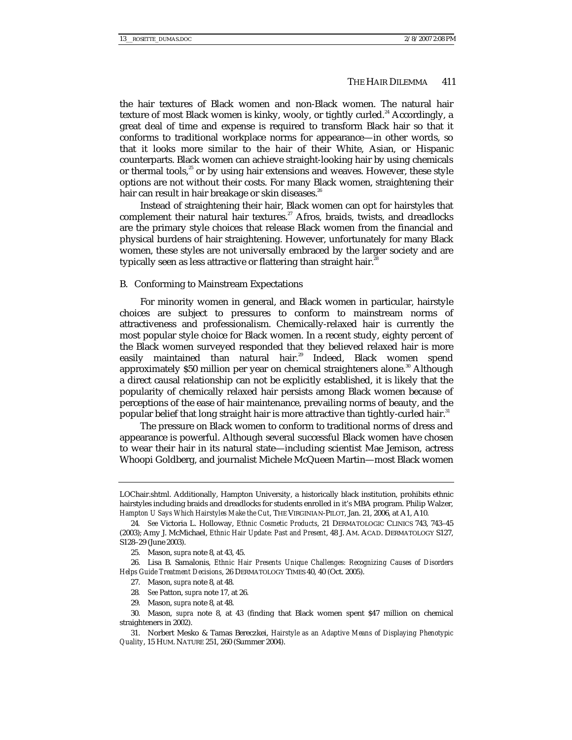the hair textures of Black women and non-Black women. The natural hair texture of most Black women is kinky, wooly, or tightly curled.<sup>24</sup> Accordingly, a great deal of time and expense is required to transform Black hair so that it conforms to traditional workplace norms for appearance—in other words, so that it looks more similar to the hair of their White, Asian, or Hispanic counterparts. Black women can achieve straight-looking hair by using chemicals or thermal tools, $25$  or by using hair extensions and weaves. However, these style options are not without their costs. For many Black women, straightening their hair can result in hair breakage or skin diseases.<sup>26</sup>

Instead of straightening their hair, Black women can opt for hairstyles that complement their natural hair textures.<sup>27</sup> Afros, braids, twists, and dreadlocks are the primary style choices that release Black women from the financial and physical burdens of hair straightening. However, unfortunately for many Black women, these styles are not universally embraced by the larger society and are typically seen as less attractive or flattering than straight hair.<sup>28</sup>

## B. Conforming to Mainstream Expectations

For minority women in general, and Black women in particular, hairstyle choices are subject to pressures to conform to mainstream norms of attractiveness and professionalism. Chemically-relaxed hair is currently the most popular style choice for Black women. In a recent study, eighty percent of the Black women surveyed responded that they believed relaxed hair is more easily maintained than natural hair.<sup>29</sup> Indeed, Black women spend approximately  $$50$  million per year on chemical straighteners alone.<sup>30</sup> Although a direct causal relationship can not be explicitly established, it is likely that the popularity of chemically relaxed hair persists among Black women because of perceptions of the ease of hair maintenance, prevailing norms of beauty, and the popular belief that long straight hair is more attractive than tightly-curled hair.<sup>31</sup>

The pressure on Black women to conform to traditional norms of dress and appearance is powerful. Although several successful Black women have chosen to wear their hair in its natural state—including scientist Mae Jemison, actress Whoopi Goldberg, and journalist Michele McQueen Martin—most Black women

- 28*. See* Patton, *supra* note 17, at 26.
- 29. Mason, *supra* note 8, at 48.

LOChair.shtml. Additionally, Hampton University, a historically black institution, prohibits ethnic hairstyles including braids and dreadlocks for students enrolled in it's MBA program. Philip Walzer, *Hampton U Says Which Hairstyles Make the Cut*, THE VIRGINIAN-PILOT, Jan. 21, 2006, at A1, A10.

<sup>24</sup>*. See* Victoria L. Holloway, *Ethnic Cosmetic Products*, 21 DERMATOLOGIC CLINICS 743, 743–45 (2003); Amy J. McMichael, *Ethnic Hair Update: Past and Present*, 48 J. AM. ACAD. DERMATOLOGY S127, S128–29 (June 2003).

 <sup>25.</sup> Mason, *supra* note 8, at 43, 45.

 <sup>26.</sup> Lisa B. Samalonis, *Ethnic Hair Presents Unique Challenges: Recognizing Causes of Disorders Helps Guide Treatment Decisions*, 26 DERMATOLOGY TIMES 40, 40 (Oct. 2005).

 <sup>27.</sup> Mason, *supra* note 8, at 48.

 <sup>30.</sup> Mason, *supra* note 8, at 43 (finding that Black women spent \$47 million on chemical straighteners in 2002).

 <sup>31.</sup> Norbert Mesko & Tamas Bereczkei, *Hairstyle as an Adaptive Means of Displaying Phenotypic Quality*, 15 HUM. NATURE 251, 260 (Summer 2004).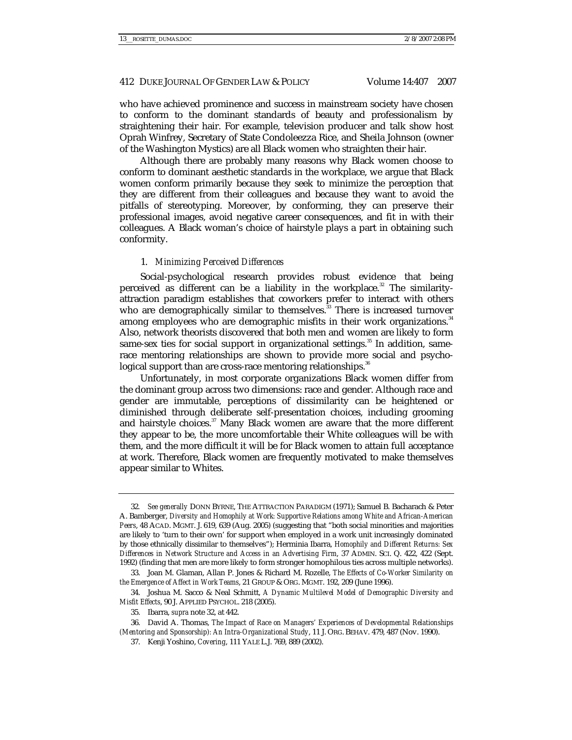who have achieved prominence and success in mainstream society have chosen to conform to the dominant standards of beauty and professionalism by straightening their hair. For example, television producer and talk show host Oprah Winfrey, Secretary of State Condoleezza Rice, and Sheila Johnson (owner of the Washington Mystics) are all Black women who straighten their hair.

Although there are probably many reasons why Black women choose to conform to dominant aesthetic standards in the workplace, we argue that Black women conform primarily because they seek to minimize the perception that they are different from their colleagues and because they want to avoid the pitfalls of stereotyping. Moreover, by conforming, they can preserve their professional images, avoid negative career consequences, and fit in with their colleagues. A Black woman's choice of hairstyle plays a part in obtaining such conformity.

### 1. *Minimizing Perceived Differences*

Social-psychological research provides robust evidence that being perceived as different can be a liability in the workplace.<sup>32</sup> The similarityattraction paradigm establishes that coworkers prefer to interact with others who are demographically similar to themselves. $33$  There is increased turnover among employees who are demographic misfits in their work organizations.<sup>34</sup> Also, network theorists discovered that both men and women are likely to form same-sex ties for social support in organizational settings.<sup>35</sup> In addition, samerace mentoring relationships are shown to provide more social and psychological support than are cross-race mentoring relationships.<sup>36</sup>

Unfortunately, in most corporate organizations Black women differ from the dominant group across two dimensions: race and gender. Although race and gender are immutable, perceptions of dissimilarity can be heightened or diminished through deliberate self-presentation choices, including grooming and hairstyle choices.<sup>37</sup> Many Black women are aware that the more different they appear to be, the more uncomfortable their White colleagues will be with them, and the more difficult it will be for Black women to attain full acceptance at work. Therefore, Black women are frequently motivated to make themselves appear similar to Whites.

<sup>32</sup>*. See generally* DONN BYRNE, THE ATTRACTION PARADIGM (1971); Samuel B. Bacharach & Peter A. Bamberger, *Diversity and Homophily at Work: Supportive Relations among White and African-American Peers*, 48 ACAD. MGMT. J. 619, 639 (Aug. 2005) (suggesting that "both social minorities and majorities are likely to 'turn to their own' for support when employed in a work unit increasingly dominated by those ethnically dissimilar to themselves"); Herminia Ibarra, *Homophily and Different Returns: Sex Differences in Network Structure and Access in an Advertising Firm*, 37 ADMIN. SCI. Q. 422, 422 (Sept. 1992) (finding that men are more likely to form stronger homophilous ties across multiple networks).

 <sup>33.</sup> Joan M. Glaman, Allan P. Jones & Richard M. Rozelle, *The Effects of Co-Worker Similarity on the Emergence of Affect in Work Teams*, 21 GROUP & ORG. MGMT. 192, 209 (June 1996).

 <sup>34.</sup> Joshua M. Sacco & Neal Schmitt, *A Dynamic Multilevel Model of Demographic Diversity and Misfit Effects*, 90 J. APPLIED PSYCHOL. 218 (2005).

 <sup>35.</sup> Ibarra, *supra* note 32, at 442.

 <sup>36.</sup> David A. Thomas, *The Impact of Race on Managers' Experiences of Developmental Relationships (Mentoring and Sponsorship): An Intra-Organizational Study*, 11 J. ORG. BEHAV. 479, 487 (Nov. 1990).

 <sup>37.</sup> Kenji Yoshino, *Covering*, 111 YALE L.J. 769, 889 (2002).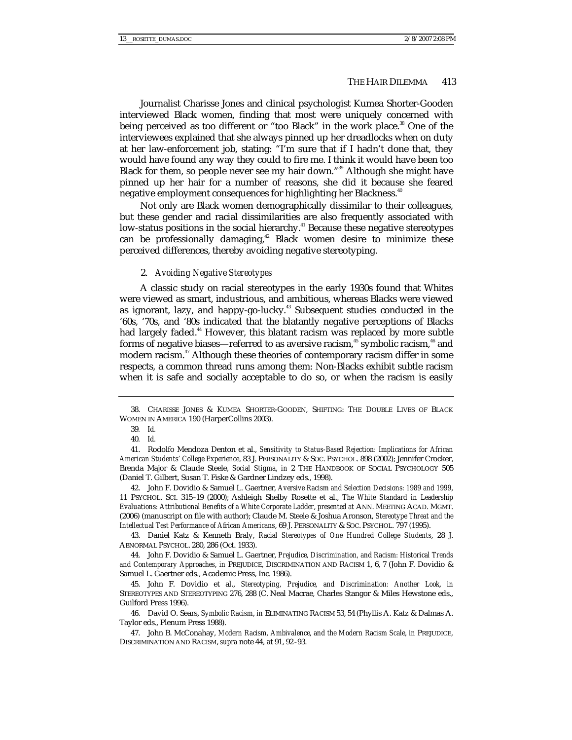Journalist Charisse Jones and clinical psychologist Kumea Shorter-Gooden interviewed Black women, finding that most were uniquely concerned with being perceived as too different or "too Black" in the work place.<sup>38</sup> One of the interviewees explained that she always pinned up her dreadlocks when on duty at her law-enforcement job, stating: "I'm sure that if I hadn't done that, they would have found any way they could to fire me. I think it would have been too Black for them, so people never see my hair down."<sup>39</sup> Although she might have pinned up her hair for a number of reasons, she did it because she feared negative employment consequences for highlighting her Blackness.<sup>40</sup>

Not only are Black women demographically dissimilar to their colleagues, but these gender and racial dissimilarities are also frequently associated with low-status positions in the social hierarchy.<sup>41</sup> Because these negative stereotypes can be professionally damaging,<sup>42</sup> Black women desire to minimize these perceived differences, thereby avoiding negative stereotyping.

#### 2. *Avoiding Negative Stereotypes*

A classic study on racial stereotypes in the early 1930s found that Whites were viewed as smart, industrious, and ambitious, whereas Blacks were viewed as ignorant, lazy, and happy-go-lucky.<sup>43</sup> Subsequent studies conducted in the '60s, '70s, and '80s indicated that the blatantly negative perceptions of Blacks had largely faded.<sup>44</sup> However, this blatant racism was replaced by more subtle forms of negative biases—referred to as aversive racism,<sup>45</sup> symbolic racism,<sup>46</sup> and modern racism.<sup>47</sup> Although these theories of contemporary racism differ in some respects, a common thread runs among them: Non-Blacks exhibit subtle racism when it is safe and socially acceptable to do so, or when the racism is easily

 42. John F. Dovidio & Samuel L. Gaertner, *Aversive Racism and Selection Decisions: 1989 and 1999*, 11 PSYCHOL. SCI. 315–19 (2000); Ashleigh Shelby Rosette et al., *The White Standard in Leadership Evaluations: Attributional Benefits of a White Corporate Ladder*, *presented at* ANN. MEETING ACAD. MGMT. (2006) (manuscript on file with author); Claude M. Steele & Joshua Aronson, *Stereotype Threat and the Intellectual Test Performance of African Americans*, 69 J. PERSONALITY & SOC. PSYCHOL. 797 (1995).

 43. Daniel Katz & Kenneth Braly, *Racial Stereotypes of One Hundred College Students*, 28 J. ABNORMAL PSYCHOL. 280, 286 (Oct. 1933).

 44. John F. Dovidio & Samuel L. Gaertner, *Prejudice, Discrimination, and Racism: Historical Trends and Contemporary Approaches*, *in* PREJUDICE, DISCRIMINATION AND RACISM 1, 6, 7 (John F. Dovidio & Samuel L. Gaertner eds., Academic Press, Inc. 1986).

 45. John F. Dovidio et al., *Stereotyping, Prejudice, and Discrimination: Another Look*, *in* STEREOTYPES AND STEREOTYPING 276, 288 (C. Neal Macrae, Charles Stangor & Miles Hewstone eds., Guilford Press 1996).

 46. David O. Sears, *Symbolic Racism*, *in* ELIMINATING RACISM 53, 54 (Phyllis A. Katz & Dalmas A. Taylor eds., Plenum Press 1988).

 47. John B. McConahay, *Modern Racism, Ambivalence, and the Modern Racism Scale*, *in* PREJUDICE, DISCRIMINATION AND RACISM, *supra* note 44, at 91, 92-93.

 <sup>38.</sup> CHARISSE JONES & KUMEA SHORTER-GOODEN, SHIFTING: THE DOUBLE LIVES OF BLACK WOMEN IN AMERICA 190 (HarperCollins 2003).

<sup>39</sup>*. Id.*

<sup>40</sup>*. Id.*

 <sup>41.</sup> Rodolfo Mendoza Denton et al., *Sensitivity to Status-Based Rejection: Implications for African American Students' College Experience*, 83 J. PERSONALITY & SOC. PSYCHOL. 898 (2002); Jennifer Crocker, Brenda Major & Claude Steele, *Social Stigma*, *in* 2 THE HANDBOOK OF SOCIAL PSYCHOLOGY 505 (Daniel T. Gilbert, Susan T. Fiske & Gardner Lindzey eds., 1998).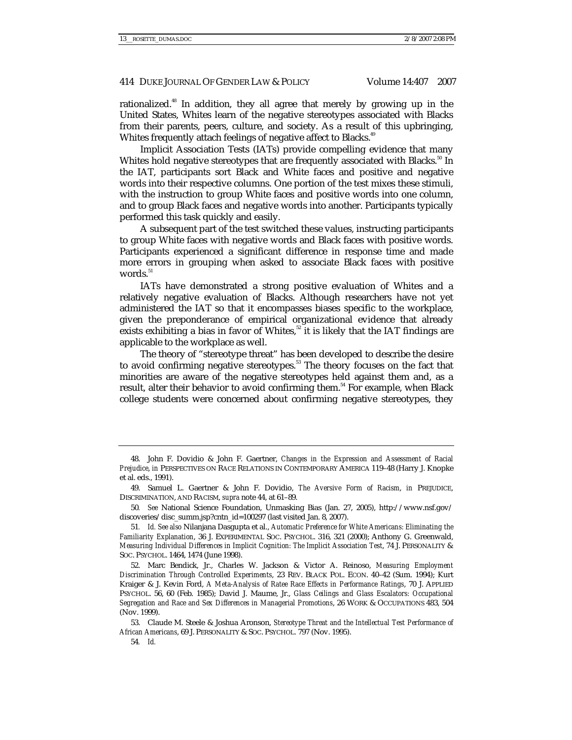rationalized.<sup>48</sup> In addition, they all agree that merely by growing up in the United States, Whites learn of the negative stereotypes associated with Blacks from their parents, peers, culture, and society. As a result of this upbringing, Whites frequently attach feelings of negative affect to Blacks.<sup>49</sup>

Implicit Association Tests (IATs) provide compelling evidence that many Whites hold negative stereotypes that are frequently associated with Blacks.<sup>50</sup> In the IAT, participants sort Black and White faces and positive and negative words into their respective columns. One portion of the test mixes these stimuli, with the instruction to group White faces and positive words into one column, and to group Black faces and negative words into another. Participants typically performed this task quickly and easily.

A subsequent part of the test switched these values, instructing participants to group White faces with negative words and Black faces with positive words. Participants experienced a significant difference in response time and made more errors in grouping when asked to associate Black faces with positive words. $^{51}$ 

IATs have demonstrated a strong positive evaluation of Whites and a relatively negative evaluation of Blacks. Although researchers have not yet administered the IAT so that it encompasses biases specific to the workplace, given the preponderance of empirical organizational evidence that already exists exhibiting a bias in favor of Whites,<sup>52</sup> it is likely that the IAT findings are applicable to the workplace as well.

The theory of "stereotype threat" has been developed to describe the desire to avoid confirming negative stereotypes.<sup>53</sup> The theory focuses on the fact that minorities are aware of the negative stereotypes held against them and, as a result, alter their behavior to avoid confirming them.<sup>54</sup> For example, when Black college students were concerned about confirming negative stereotypes, they

 <sup>48.</sup> John F. Dovidio & John F. Gaertner, *Changes in the Expression and Assessment of Racial Prejudice*, *in* PERSPECTIVES ON RACE RELATIONS IN CONTEMPORARY AMERICA 119–48 (Harry J. Knopke et al. eds., 1991).

 <sup>49.</sup> Samuel L. Gaertner & John F. Dovidio, *The Aversive Form of Racism*, *in* PREJUDICE, DISCRIMINATION, AND RACISM, *supra* note 44, at 61–89.

<sup>50</sup>*. See* National Science Foundation, Unmasking Bias (Jan. 27, 2005), http://www.nsf.gov/ discoveries/disc\_summ.jsp?cntn\_id=100297 (last visited Jan. 8, 2007).

<sup>51</sup>*. Id. See also* Nilanjana Dasgupta et al., *Automatic Preference for White Americans: Eliminating the Familiarity Explanation*, 36 J. EXPERIMENTAL SOC. PSYCHOL. 316, 321 (2000); Anthony G. Greenwald, *Measuring Individual Differences in Implicit Cognition: The Implicit Association Test*, 74 J. PERSONALITY & SOC. PSYCHOL. 1464, 1474 (June 1998).

 <sup>52.</sup> Marc Bendick, Jr., Charles W. Jackson & Victor A. Reinoso, *Measuring Employment Discrimination Through Controlled Experiments*, 23 REV. BLACK POL. ECON. 40–42 (Sum. 1994); Kurt Kraiger & J. Kevin Ford, *A Meta-Analysis of Ratee Race Effects in Performance Ratings*, 70 J. APPLIED PSYCHOL. 56, 60 (Feb. 1985); David J. Maume, Jr., *Glass Ceilings and Glass Escalators: Occupational Segregation and Race and Sex Differences in Managerial Promotions*, 26 WORK & OCCUPATIONS 483, 504 (Nov. 1999).

 <sup>53.</sup> Claude M. Steele & Joshua Aronson, *Stereotype Threat and the Intellectual Test Performance of African Americans*, 69 J. PERSONALITY & SOC. PSYCHOL. 797 (Nov. 1995).

<sup>54</sup>*. Id.*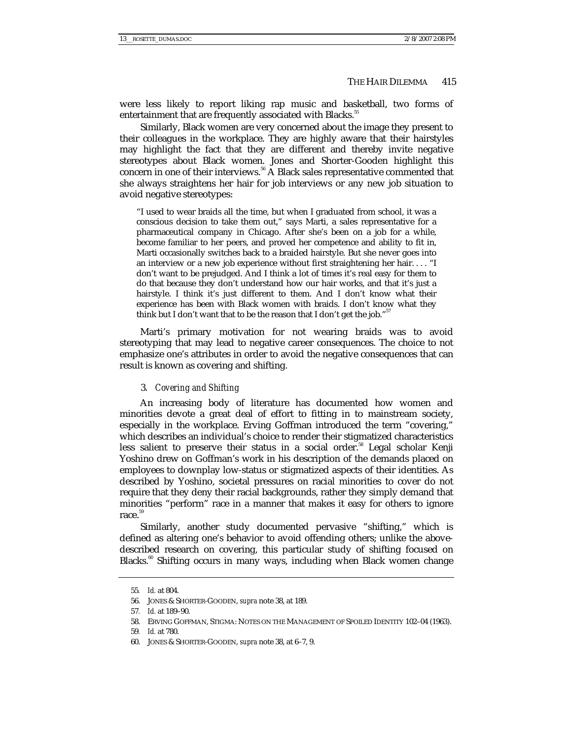were less likely to report liking rap music and basketball, two forms of entertainment that are frequently associated with Blacks.<sup>55</sup>

Similarly, Black women are very concerned about the image they present to their colleagues in the workplace. They are highly aware that their hairstyles may highlight the fact that they are different and thereby invite negative stereotypes about Black women. Jones and Shorter-Gooden highlight this concern in one of their interviews.<sup>56</sup> A Black sales representative commented that she always straightens her hair for job interviews or any new job situation to avoid negative stereotypes:

"I used to wear braids all the time, but when I graduated from school, it was a conscious decision to take them out," says Marti, a sales representative for a pharmaceutical company in Chicago. After she's been on a job for a while, become familiar to her peers, and proved her competence and ability to fit in, Marti occasionally switches back to a braided hairstyle. But she never goes into an interview or a new job experience without first straightening her hair. . . . "I don't want to be prejudged. And I think a lot of times it's real easy for them to do that because they don't understand how our hair works, and that it's just a hairstyle. I think it's just different to them. And I don't know what their experience has been with Black women with braids. I don't know what they think but I don't want that to be the reason that I don't get the job."<sup>57</sup>

Marti's primary motivation for not wearing braids was to avoid stereotyping that may lead to negative career consequences. The choice to not emphasize one's attributes in order to avoid the negative consequences that can result is known as covering and shifting.

# 3. *Covering and Shifting*

An increasing body of literature has documented how women and minorities devote a great deal of effort to fitting in to mainstream society, especially in the workplace. Erving Goffman introduced the term "covering," which describes an individual's choice to render their stigmatized characteristics less salient to preserve their status in a social order.<sup>58</sup> Legal scholar Kenji Yoshino drew on Goffman's work in his description of the demands placed on employees to downplay low-status or stigmatized aspects of their identities. As described by Yoshino, societal pressures on racial minorities to cover do not require that they deny their racial backgrounds, rather they simply demand that minorities "perform" race in a manner that makes it easy for others to ignore  $rac{59}{2}$ 

Similarly, another study documented pervasive "shifting," which is defined as altering one's behavior to avoid offending others; unlike the abovedescribed research on covering, this particular study of shifting focused on Blacks.<sup>60</sup> Shifting occurs in many ways, including when Black women change

<sup>55</sup>*. Id.* at 804.

 <sup>56.</sup> JONES & SHORTER-GOODEN, *supra* note 38, at 189.

<sup>57</sup>*. Id.* at 189–90.

 <sup>58.</sup> ERVING GOFFMAN, STIGMA: NOTES ON THE MANAGEMENT OF SPOILED IDENTITY 102–04 (1963).

<sup>59</sup>*. Id.* at 780.

 <sup>60.</sup> JONES & SHORTER-GOODEN, *supra* note 38, at 6–7, 9.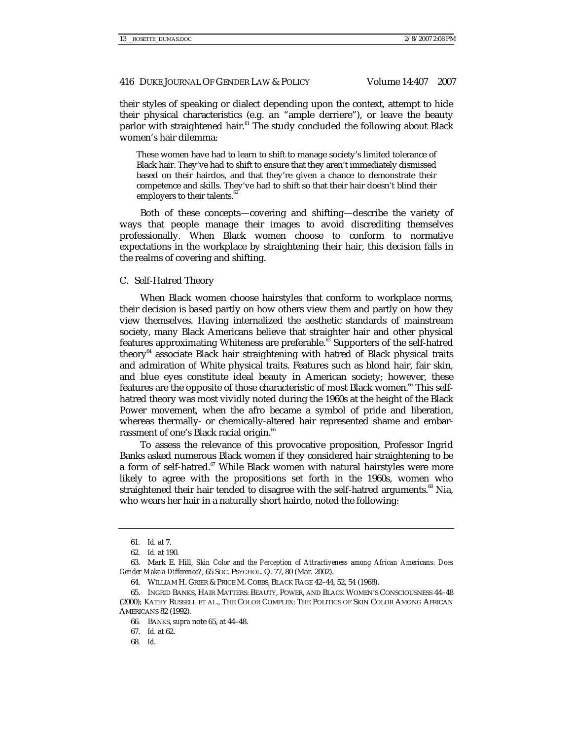their styles of speaking or dialect depending upon the context, attempt to hide their physical characteristics (e.g. an "ample derriere"), or leave the beauty parlor with straightened hair.<sup>61</sup> The study concluded the following about Black women's hair dilemma:

These women have had to learn to shift to manage society's limited tolerance of Black hair. They've had to shift to ensure that they aren't immediately dismissed based on their hairdos, and that they're given a chance to demonstrate their competence and skills. They've had to shift so that their hair doesn't blind their employers to their talents.<sup>6</sup>

Both of these concepts—covering and shifting—describe the variety of ways that people manage their images to avoid discrediting themselves professionally. When Black women choose to conform to normative expectations in the workplace by straightening their hair, this decision falls in the realms of covering and shifting.

#### C. Self-Hatred Theory

When Black women choose hairstyles that conform to workplace norms, their decision is based partly on how others view them and partly on how they view themselves. Having internalized the aesthetic standards of mainstream society, many Black Americans believe that straighter hair and other physical features approximating Whiteness are preferable.<sup>63</sup> Supporters of the self-hatred theory<sup>64</sup> associate Black hair straightening with hatred of Black physical traits and admiration of White physical traits. Features such as blond hair, fair skin, and blue eyes constitute ideal beauty in American society; however, these features are the opposite of those characteristic of most Black women.<sup>65</sup> This selfhatred theory was most vividly noted during the 1960s at the height of the Black Power movement, when the afro became a symbol of pride and liberation, whereas thermally- or chemically-altered hair represented shame and embarrassment of one's Black racial origin.<sup>66</sup>

To assess the relevance of this provocative proposition, Professor Ingrid Banks asked numerous Black women if they considered hair straightening to be a form of self-hatred.<sup>67</sup> While Black women with natural hairstyles were more likely to agree with the propositions set forth in the 1960s, women who straightened their hair tended to disagree with the self-hatred arguments.<sup>68</sup> Nia, who wears her hair in a naturally short hairdo, noted the following:

<sup>61</sup>*. Id.* at 7.

<sup>62</sup>*. Id.* at 190.

 <sup>63.</sup> Mark E. Hill, *Skin Color and the Perception of Attractiveness among African Americans: Does Gender Make a Difference?*, 65 SOC. PSYCHOL. Q. 77, 80 (Mar. 2002).

 <sup>64.</sup> WILLIAM H. GRIER & PRICE M. COBBS, BLACK RAGE 42–44, 52, 54 (1968).

 <sup>65.</sup> INGRID BANKS, HAIR MATTERS: BEAUTY, POWER, AND BLACK WOMEN'S CONSCIOUSNESS 44–48 (2000); KATHY RUSSELL ET AL., THE COLOR COMPLEX: THE POLITICS OF SKIN COLOR AMONG AFRICAN AMERICANS 82 (1992).

<sup>66</sup>*.* BANKS, *supra* note 65, at 44–48.

 <sup>67.</sup> *Id.* at 62.

<sup>68</sup>*. Id.*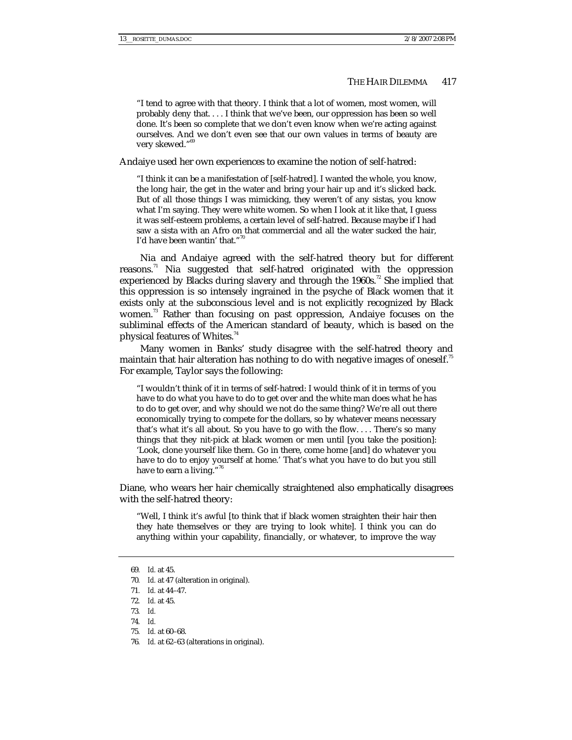"I tend to agree with that theory. I think that a lot of women, most women, will probably deny that. . . . I think that we've been, our oppression has been so well done. It's been so complete that we don't even know when we're acting against ourselves. And we don't even see that our own values in terms of beauty are very skewed."<sup>69</sup>

Andaiye used her own experiences to examine the notion of self-hatred:

"I think it can be a manifestation of [self-hatred]. I wanted the whole, you know, the long hair, the get in the water and bring your hair up and it's slicked back. But of all those things I was mimicking, they weren't of any sistas, you know what I'm saying. They were white women. So when I look at it like that, I guess it was self-esteem problems, a certain level of self-hatred. Because maybe if I had saw a sista with an Afro on that commercial and all the water sucked the hair, I'd have been wantin' that."70

Nia and Andaiye agreed with the self-hatred theory but for different reasons.<sup>71</sup> Nia suggested that self-hatred originated with the oppression experienced by Blacks during slavery and through the 1960s.<sup>72</sup> She implied that this oppression is so intensely ingrained in the psyche of Black women that it exists only at the subconscious level and is not explicitly recognized by Black women.<sup>73</sup> Rather than focusing on past oppression, Andaiye focuses on the subliminal effects of the American standard of beauty, which is based on the physical features of Whites.<sup>74</sup>

Many women in Banks' study disagree with the self-hatred theory and maintain that hair alteration has nothing to do with negative images of oneself.<sup>75</sup> For example, Taylor says the following:

"I wouldn't think of it in terms of self-hatred: I would think of it in terms of you have to do what you have to do to get over and the white man does what he has to do to get over, and why should we not do the same thing? We're all out there economically trying to compete for the dollars, so by whatever means necessary that's what it's all about. So you have to go with the flow. . . . There's so many things that they nit-pick at black women or men until [you take the position]: 'Look, clone yourself like them. Go in there, come home [and] do whatever you have to do to enjoy yourself at home.' That's what you have to do but you still have to earn a living."<sup>76</sup>

Diane, who wears her hair chemically straightened also emphatically disagrees with the self-hatred theory:

"Well, I think it's awful [to think that if black women straighten their hair then they hate themselves or they are trying to look white]. I think you can do anything within your capability, financially, or whatever, to improve the way

76*. Id.* at 62–63 (alterations in original).

<sup>69</sup>*. Id.* at 45.

<sup>70</sup>*. Id.* at 47 (alteration in original).

<sup>71</sup>*. Id.* at 44–47.

<sup>72</sup>*. Id.* at 45.

<sup>73</sup>*. Id.*

<sup>74</sup>*. Id.*

<sup>75</sup>*. Id.* at 60–68.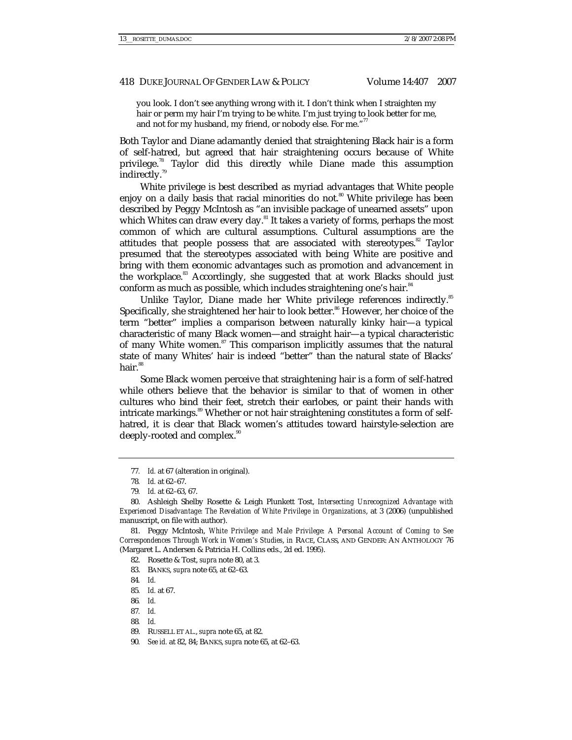you look. I don't see anything wrong with it. I don't think when I straighten my hair or perm my hair I'm trying to be white. I'm just trying to look better for me, and not for my husband, my friend, or nobody else. For me."<sup>77</sup>

Both Taylor and Diane adamantly denied that straightening Black hair is a form of self-hatred, but agreed that hair straightening occurs because of White privilege.78 Taylor did this directly while Diane made this assumption indirectly.<sup>79</sup>

White privilege is best described as myriad advantages that White people enjoy on a daily basis that racial minorities do not.<sup>80</sup> White privilege has been described by Peggy McIntosh as "an invisible package of unearned assets" upon which Whites can draw every day.<sup>81</sup> It takes a variety of forms, perhaps the most common of which are cultural assumptions. Cultural assumptions are the attitudes that people possess that are associated with stereotypes. $82$  Taylor presumed that the stereotypes associated with being White are positive and bring with them economic advantages such as promotion and advancement in the workplace.<sup>83</sup> Accordingly, she suggested that at work Blacks should just conform as much as possible, which includes straightening one's hair.<sup>84</sup>

Unlike Taylor, Diane made her White privilege references indirectly.<sup>85</sup> Specifically, she straightened her hair to look better.<sup>86</sup> However, her choice of the term "better" implies a comparison between naturally kinky hair—a typical characteristic of many Black women—and straight hair—a typical characteristic of many White women.<sup>87</sup> This comparison implicitly assumes that the natural state of many Whites' hair is indeed "better" than the natural state of Blacks' hair.<sup>88</sup>

Some Black women perceive that straightening hair is a form of self-hatred while others believe that the behavior is similar to that of women in other cultures who bind their feet, stretch their earlobes, or paint their hands with intricate markings.<sup>89</sup> Whether or not hair straightening constitutes a form of selfhatred, it is clear that Black women's attitudes toward hairstyle-selection are deeply-rooted and complex.<sup>90</sup>

77*. Id.* at 67 (alteration in original).

 81. Peggy McIntosh, *White Privilege and Male Privilege: A Personal Account of Coming to See Correspondences Through Work in Women's Studies*, *in* RACE, CLASS, AND GENDER: AN ANTHOLOGY 76 (Margaret L. Andersen & Patricia H. Collins eds., 2d ed. 1995).

82. Rosette & Tost, *supra* note 80, at 3.

83. BANKS, *supra* note 65, at 62–63.

84*. Id.*

- 86*. Id.*
- 87*. Id.*
- 88*. Id.*

90*. See id.* at 82, 84; BANKS, *supra* note 65, at 62–63.

<sup>78</sup>*. Id.* at 62–67.

<sup>79</sup>*. Id.* at 62–63, 67.

 <sup>80.</sup> Ashleigh Shelby Rosette & Leigh Plunkett Tost, *Intersecting Unrecognized Advantage with Experienced Disadvantage: The Revelation of White Privilege in Organizations*, at 3 (2006) (unpublished manuscript, on file with author).

<sup>85</sup>*. Id.* at 67.

 <sup>89.</sup> RUSSELL ET AL., *supra* note 65, at 82.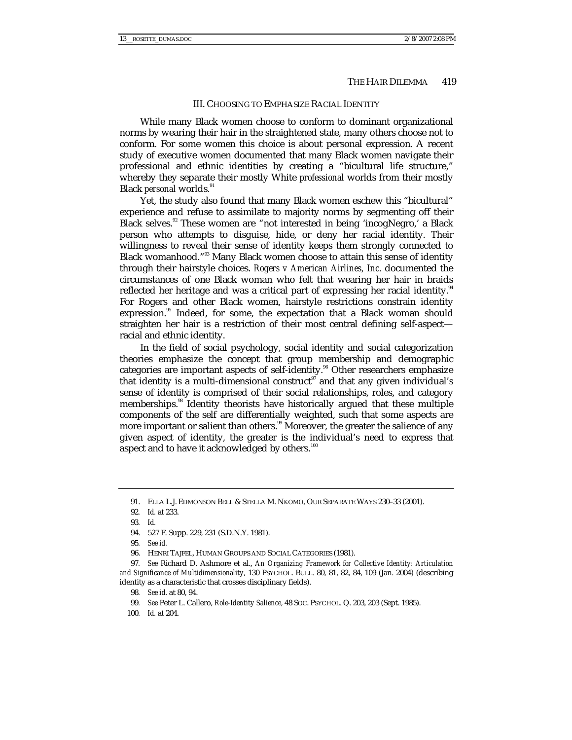#### III. CHOOSING TO EMPHASIZE RACIAL IDENTITY

While many Black women choose to conform to dominant organizational norms by wearing their hair in the straightened state, many others choose not to conform. For some women this choice is about personal expression. A recent study of executive women documented that many Black women navigate their professional and ethnic identities by creating a "bicultural life structure," whereby they separate their mostly White *professional* worlds from their mostly Black *personal* worlds.<sup>91</sup>

Yet, the study also found that many Black women eschew this "bicultural" experience and refuse to assimilate to majority norms by segmenting off their Black selves.<sup>92</sup> These women are "not interested in being 'incogNegro,' a Black person who attempts to disguise, hide, or deny her racial identity. Their willingness to reveal their sense of identity keeps them strongly connected to Black womanhood."<sup>93</sup> Many Black women choose to attain this sense of identity through their hairstyle choices. *Rogers v American Airlines, Inc.* documented the circumstances of one Black woman who felt that wearing her hair in braids reflected her heritage and was a critical part of expressing her racial identity. $^{94}$ For Rogers and other Black women, hairstyle restrictions constrain identity expression.<sup>95</sup> Indeed, for some, the expectation that a Black woman should straighten her hair is a restriction of their most central defining self-aspect racial and ethnic identity.

In the field of social psychology, social identity and social categorization theories emphasize the concept that group membership and demographic categories are important aspects of self-identity.<sup>96</sup> Other researchers emphasize that identity is a multi-dimensional construct<sup>97</sup> and that any given individual's sense of identity is comprised of their social relationships, roles, and category memberships.<sup>98</sup> Identity theorists have historically argued that these multiple components of the self are differentially weighted, such that some aspects are more important or salient than others.<sup>99</sup> Moreover, the greater the salience of any given aspect of identity, the greater is the individual's need to express that aspect and to have it acknowledged by others.<sup>100</sup>

97*. See* Richard D. Ashmore et al., *An Organizing Framework for Collective Identity: Articulation and Significance of Multidimensionality*, 130 PSYCHOL. BULL. 80, 81, 82, 84, 109 (Jan. 2004) (describing identity as a characteristic that crosses disciplinary fields).

 <sup>91.</sup> ELLA L.J. EDMONSON BELL & STELLA M. NKOMO, OUR SEPARATE WAYS 230–33 (2001).

<sup>92</sup>*. Id.* at 233.

<sup>93</sup>*. Id.*

 <sup>94. 527</sup> F. Supp. 229, 231 (S.D.N.Y. 1981).

<sup>95</sup>*. See id.*

 <sup>96.</sup> HENRI TAJFEL, HUMAN GROUPS AND SOCIAL CATEGORIES (1981).

<sup>98</sup>*. See id.* at 80, 94.

<sup>99</sup>*. See* Peter L. Callero, *Role-Identity Salience*, 48 SOC. PSYCHOL. Q. 203, 203 (Sept. 1985).

<sup>100</sup>*. Id.* at 204.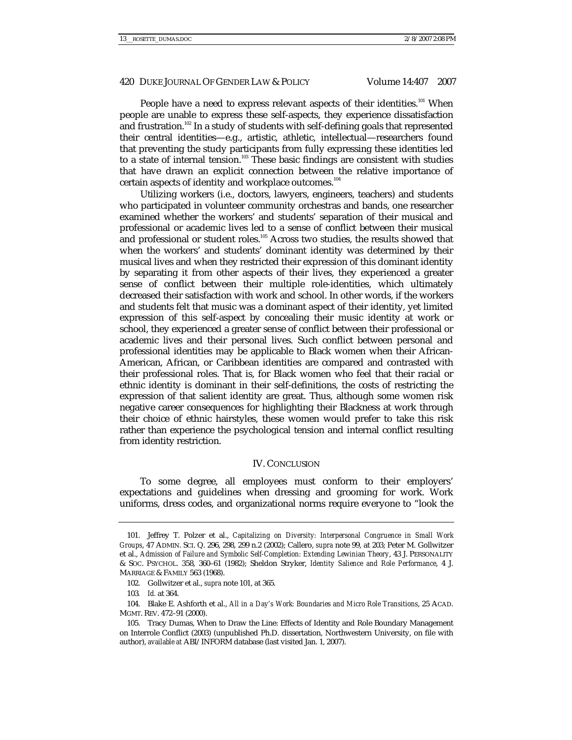People have a need to express relevant aspects of their identities.<sup>101</sup> When people are unable to express these self-aspects, they experience dissatisfaction and frustration.<sup>102</sup> In a study of students with self-defining goals that represented their central identities—e.g., artistic, athletic, intellectual—researchers found that preventing the study participants from fully expressing these identities led to a state of internal tension.<sup>103</sup> These basic findings are consistent with studies that have drawn an explicit connection between the relative importance of certain aspects of identity and workplace outcomes.<sup>104</sup>

Utilizing workers (i.e., doctors, lawyers, engineers, teachers) and students who participated in volunteer community orchestras and bands, one researcher examined whether the workers' and students' separation of their musical and professional or academic lives led to a sense of conflict between their musical and professional or student roles.<sup>105</sup> Across two studies, the results showed that when the workers' and students' dominant identity was determined by their musical lives and when they restricted their expression of this dominant identity by separating it from other aspects of their lives, they experienced a greater sense of conflict between their multiple role-identities, which ultimately decreased their satisfaction with work and school. In other words, if the workers and students felt that music was a dominant aspect of their identity, yet limited expression of this self-aspect by concealing their music identity at work or school, they experienced a greater sense of conflict between their professional or academic lives and their personal lives. Such conflict between personal and professional identities may be applicable to Black women when their African-American, African, or Caribbean identities are compared and contrasted with their professional roles. That is, for Black women who feel that their racial or ethnic identity is dominant in their self-definitions, the costs of restricting the expression of that salient identity are great. Thus, although some women risk negative career consequences for highlighting their Blackness at work through their choice of ethnic hairstyles, these women would prefer to take this risk rather than experience the psychological tension and internal conflict resulting from identity restriction.

### IV. CONCLUSION

To some degree, all employees must conform to their employers' expectations and guidelines when dressing and grooming for work. Work uniforms, dress codes, and organizational norms require everyone to "look the

 <sup>101.</sup> Jeffrey T. Polzer et al., *Capitalizing on Diversity: Interpersonal Congruence in Small Work Groups*, 47 ADMIN. SCI. Q. 296, 298, 299 n.2 (2002); Callero, *supra* note 99, at 203; Peter M. Gollwitzer et al., *Admission of Failure and Symbolic Self-Completion: Extending Lewinian Theory*, 43 J. PERSONALITY & SOC. PSYCHOL. 358, 360–61 (1982); Sheldon Stryker, *Identity Salience and Role Performance*, 4 J. MARRIAGE & FAMILY 563 (1968).

 <sup>102.</sup> Gollwitzer et al., *supra* note 101, at 365.

<sup>103</sup>*. Id.* at 364.

 <sup>104.</sup> Blake E. Ashforth et al., *All in a Day's Work: Boundaries and Micro Role Transitions*, 25 ACAD. MGMT. REV. 472–91 (2000).

 <sup>105.</sup> Tracy Dumas, When to Draw the Line: Effects of Identity and Role Boundary Management on Interrole Conflict (2003) (unpublished Ph.D. dissertation, Northwestern University, on file with author), *available at* ABI/INFORM database (last visited Jan. 1, 2007).